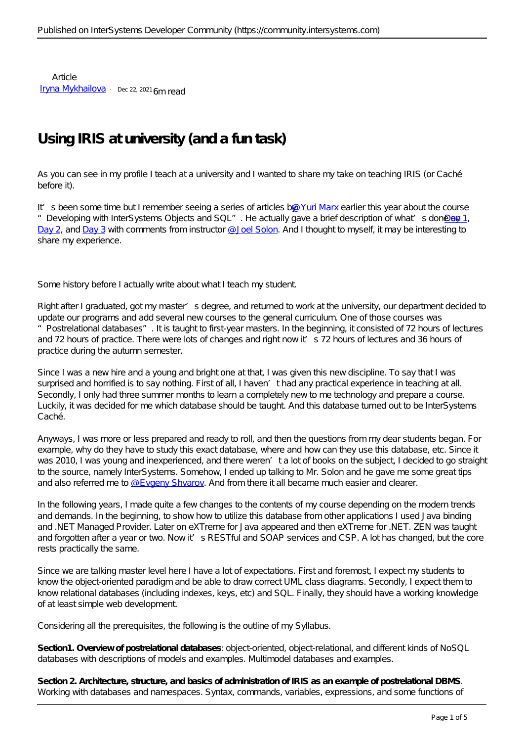Article [Iryna Mykhailova](https://community.intersystems.com/user/iryna-mykhailova) · Dec 22, 2021 6m read

## **Using IRIS at university (and a fun task)**

As you can see in my profile I teach at a university and I wanted to share my take on teaching IRIS (or Caché before it).

It's been some time but I remember seeing a series of articles by [@Yuri Marx](https://community.intersystems.com/user/yuri-marx) earlier this year about the course "Developing with InterSystems Objects and SQL". He actually gave a brief description of what's done on [Day 1](https://community.intersystems.com/post/day-1-developing-intersystems-objects-and-sql), [Day 2,](https://community.intersystems.com/post/day-2-developing-intersystems-objects-and-sql) and [Day 3](https://community.intersystems.com/post/day-3-developing-intersystems-objects-and-sql) with comments from instructor @ Joel Solon. And I thought to myself, it may be interesting to share my experience.

Some history before I actually write about what I teach my student.

Right after I graduated, got my master's degree, and returned to work at the university, our department decided to update our programs and add several new courses to the general curriculum. One of those courses was "Postrelational databases". It is taught to first-year masters. In the beginning, it consisted of 72 hours of lectures and 72 hours of practice. There were lots of changes and right now it's 72 hours of lectures and 36 hours of practice during the autumn semester.

Since I was a new hire and a young and bright one at that, I was given this new discipline. To say that I was surprised and horrified is to say nothing. First of all, I haven't had any practical experience in teaching at all. Secondly, I only had three summer months to learn a completely new to me technology and prepare a course. Luckily, it was decided for me which database should be taught. And this database turned out to be InterSystems Caché.

Anyways, I was more or less prepared and ready to roll, and then the questions from my dear students began. For example, why do they have to study this exact database, where and how can they use this database, etc. Since it was 2010, I was young and inexperienced, and there weren't a lot of books on the subject, I decided to go straight to the source, namely InterSystems. Somehow, I ended up talking to Mr. Solon and he gave me some great tips and also referred me to [@Evgeny Shvarov.](https://community.intersystems.com/user/evgeny-shvarov) And from there it all became much easier and clearer.

In the following years, I made quite a few changes to the contents of my course depending on the modern trends and demands. In the beginning, to show how to utilize this database from other applications I used Java binding and .NET Managed Provider. Later on eXTreme for Java appeared and then eXTreme for .NET. ZEN was taught and forgotten after a year or two. Now it's RESTful and SOAP services and CSP. A lot has changed, but the core rests practically the same.

Since we are talking master level here I have a lot of expectations. First and foremost, I expect my students to know the object-oriented paradigm and be able to draw correct UML class diagrams. Secondly, I expect them to know relational databases (including indexes, keys, etc) and SQL. Finally, they should have a working knowledge of at least simple web development.

Considering all the prerequisites, the following is the outline of my Syllabus.

**Section1. Overview of postrelational databases**: object-oriented, object-relational, and different kinds of NoSQL databases with descriptions of models and examples. Multimodel databases and examples.

**Section 2. Architecture, structure, and basics of administration of IRIS as an example of postrelational DBMS**. Working with databases and namespaces. Syntax, commands, variables, expressions, and some functions of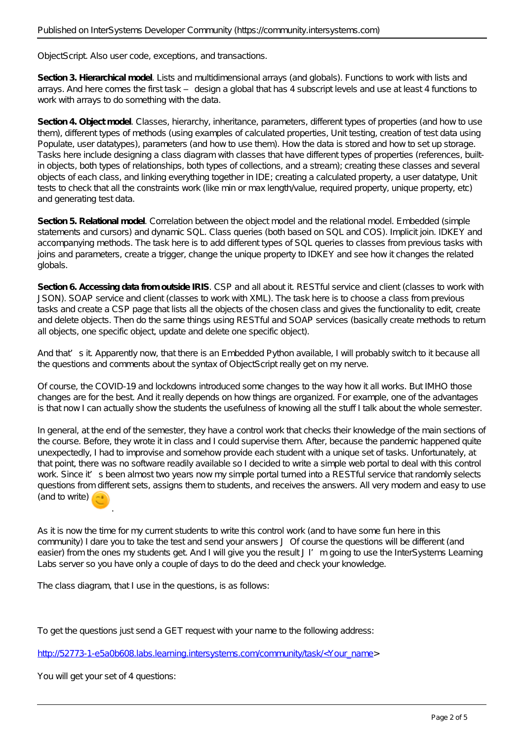ObjectScript. Also user code, exceptions, and transactions.

**Section 3. Hierarchical model**. Lists and multidimensional arrays (and globals). Functions to work with lists and arrays. And here comes the first task – design a global that has 4 subscript levels and use at least 4 functions to work with arrays to do something with the data.

**Section 4. Object model**. Classes, hierarchy, inheritance, parameters, different types of properties (and how to use them), different types of methods (using examples of calculated properties, Unit testing, creation of test data using Populate, user datatypes), parameters (and how to use them). How the data is stored and how to set up storage. Tasks here include designing a class diagram with classes that have different types of properties (references, builtin objects, both types of relationships, both types of collections, and a stream); creating these classes and several objects of each class, and linking everything together in IDE; creating a calculated property, a user datatype, Unit tests to check that all the constraints work (like min or max length/value, required property, unique property, etc) and generating test data.

**Section 5. Relational model**. Correlation between the object model and the relational model. Embedded (simple statements and cursors) and dynamic SQL. Class queries (both based on SQL and COS). Implicit join. IDKEY and accompanying methods. The task here is to add different types of SQL queries to classes from previous tasks with joins and parameters, create a trigger, change the unique property to IDKEY and see how it changes the related globals.

Section 6. Accessing data from outside IRIS. CSP and all about it. RESTful service and client (classes to work with JSON). SOAP service and client (classes to work with XML). The task here is to choose a class from previous tasks and create a CSP page that lists all the objects of the chosen class and gives the functionality to edit, create and delete objects. Then do the same things using RESTful and SOAP services (basically create methods to return all objects, one specific object, update and delete one specific object).

And that's it. Apparently now, that there is an Embedded Python available, I will probably switch to it because all the questions and comments about the syntax of ObjectScript really get on my nerve.

Of course, the COVID-19 and lockdowns introduced some changes to the way how it all works. But IMHO those changes are for the best. And it really depends on how things are organized. For example, one of the advantages is that now I can actually show the students the usefulness of knowing all the stuff I talk about the whole semester.

In general, at the end of the semester, they have a control work that checks their knowledge of the main sections of the course. Before, they wrote it in class and I could supervise them. After, because the pandemic happened quite unexpectedly, I had to improvise and somehow provide each student with a unique set of tasks. Unfortunately, at that point, there was no software readily available so I decided to write a simple web portal to deal with this control work. Since it's been almost two years now my simple portal turned into a RESTful service that randomly selects questions from different sets, assigns them to students, and receives the answers. All very modern and easy to use (and to write)  $\left(\frac{1}{2}\right)$ 

As it is now the time for my current students to write this control work (and to have some fun here in this community) I dare you to take the test and send your answers J Of course the questions will be different (and easier) from the ones my students get. And I will give you the result J I'm going to use the InterSystems Learning Labs server so you have only a couple of days to do the deed and check your knowledge.

The class diagram, that I use in the questions, is as follows:

To get the questions just send a GET request with your name to the following address:

[http://52773-1-e5a0b608.labs.learning.intersystems.com/community/task/<Your\\_name](http://52773-1-e5a0b608.labs.learning.intersystems.com/community/task/%3cYour_name)>

You will get your set of 4 questions:

.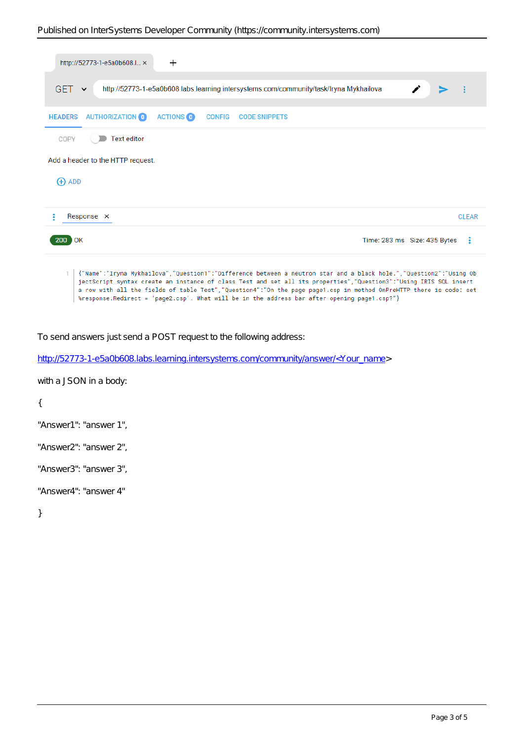| http://52773-1-e5a0b608.l ×<br>$\pm$                                                                                                                                                                                                                                                                                                                                                                                                                                   |                                     |
|------------------------------------------------------------------------------------------------------------------------------------------------------------------------------------------------------------------------------------------------------------------------------------------------------------------------------------------------------------------------------------------------------------------------------------------------------------------------|-------------------------------------|
| GET $\sim$<br>http://52773-1-e5a0b608.labs.learning.intersystems.com/community/task/Iryna Mykhailova                                                                                                                                                                                                                                                                                                                                                                   |                                     |
| <b>AUTHORIZATION</b><br><b>ACTIONS</b><br><b>HEADERS</b><br><b>CONFIG CODE SNIPPETS</b>                                                                                                                                                                                                                                                                                                                                                                                |                                     |
| <b>Text editor</b><br><b>COPY</b>                                                                                                                                                                                                                                                                                                                                                                                                                                      |                                     |
| Add a header to the HTTP request.                                                                                                                                                                                                                                                                                                                                                                                                                                      |                                     |
| $\bigoplus$ ADD                                                                                                                                                                                                                                                                                                                                                                                                                                                        |                                     |
| Response X                                                                                                                                                                                                                                                                                                                                                                                                                                                             | <b>CLEAR</b>                        |
| <b>200 OK</b>                                                                                                                                                                                                                                                                                                                                                                                                                                                          | - 9<br>Time: 283 ms Size: 435 Bytes |
| {"Name":"Iryna Mykhailova","Question1":"Difference between a neutron star and a black hole.","Question2":"Using Ob<br>1.<br>jectScript syntax create an instance of class Test and set all its properties", "Question3":"Using IRIS SQL insert<br>a row with all the fields of table Test", "Question4": "On the page page1.csp in method OnPreHTTP there is code: set<br>%response.Redirect = 'page2.csp'. What will be in the address bar after opening page1.csp?"} |                                     |

To send answers just send a POST request to the following address:

[http://52773-1-e5a0b608.labs.learning.intersystems.com/community/answer/<Your\\_name>](http://52773-1-e5a0b608.labs.learning.intersystems.com/community/answer/%3cYour_name)

with a JSON in a body:

{

```
"Answer1": "answer 1",
```
"Answer2": "answer 2",

"Answer3": "answer 3",

"Answer4": "answer 4"

}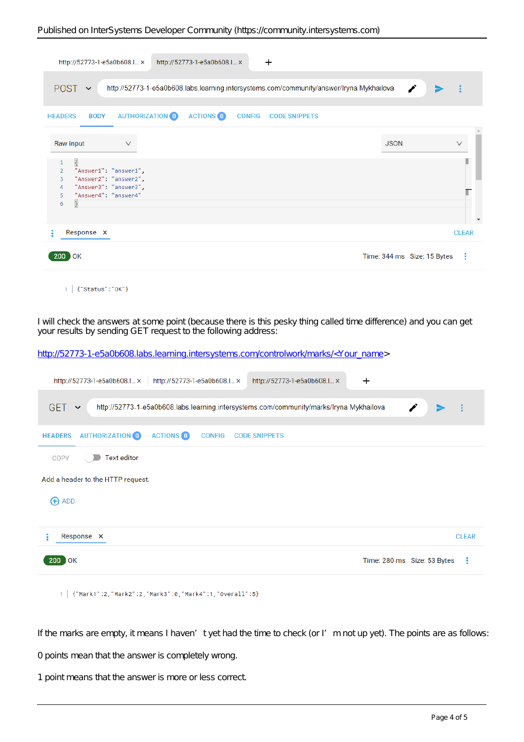| http://52773-1-e5a0b608.l ×                                                                                                                                     | $\pm$<br>http://52773-1-e5a0b608.l ×                                                     |                                  |
|-----------------------------------------------------------------------------------------------------------------------------------------------------------------|------------------------------------------------------------------------------------------|----------------------------------|
| POST $\sim$                                                                                                                                                     | http://52773-1-e5a0b608.labs.learning.intersystems.com/community/answer/Iryna Mykhailova | ◢                                |
| <b>AUTHORIZATION O</b><br><b>BODY</b><br><b>HEADERS</b>                                                                                                         | <b>ACTIONS</b> O<br><b>CONFIG CODE SNIPPETS</b>                                          |                                  |
| Raw input<br>$\vee$<br>ł.<br>1<br>"Answer1": "answer1",<br>2<br>"Answer2": "answer2",<br>3<br>"Answer3": "answer3",<br>4<br>"Answer4": "answer4"<br>5<br>}<br>6 |                                                                                          | <b>JSON</b><br>$\checkmark$      |
| Response X                                                                                                                                                      |                                                                                          | <b>CLEAR</b>                     |
| <b>200 OK</b>                                                                                                                                                   |                                                                                          | Time: 344 ms Size: 15 Bytes<br>÷ |
|                                                                                                                                                                 |                                                                                          |                                  |

 $1$   $\{$  "Status": "OK"}

I will check the answers at some point (because there is this pesky thing called time difference) and you can get your results by sending GET request to the following address:

[http://52773-1-e5a0b608.labs.learning.intersystems.com/controlwork/marks/<Your\\_name>](http://52773-1-e5a0b608.labs.learning.intersystems.com/controlwork/marks/%3cYour_name)

| http://52773-1-e5a0b608.l ×<br>http://52773-1-e5a0b608.l ×<br>http://52773-1-e5a0b608.l ×                             | $\div$                           |
|-----------------------------------------------------------------------------------------------------------------------|----------------------------------|
| <b>GET</b><br>http://52773-1-e5a0b608.labs.learning.intersystems.com/community/marks/Iryna Mykhailova<br>$\checkmark$ |                                  |
| <b>AUTHORIZATION</b> O<br><b>ACTIONS</b> O<br><b>HEADERS</b><br><b>CONFIG</b><br><b>CODE SNIPPETS</b>                 |                                  |
| Text editor<br>COPY                                                                                                   |                                  |
| Add a header to the HTTP request.                                                                                     |                                  |
| <b>ADD</b>                                                                                                            |                                  |
| Response X                                                                                                            | <b>CLEAR</b>                     |
| 200 OK                                                                                                                | ÷<br>Time: 280 ms Size: 53 Bytes |
| {"Mark1":2,"Mark2":2,"Mark3":0,"Mark4":1,"Overall":5}<br>1                                                            |                                  |

If the marks are empty, it means I haven't yet had the time to check (or I'm not up yet). The points are as follows:

0 points mean that the answer is completely wrong.

1 point means that the answer is more or less correct.